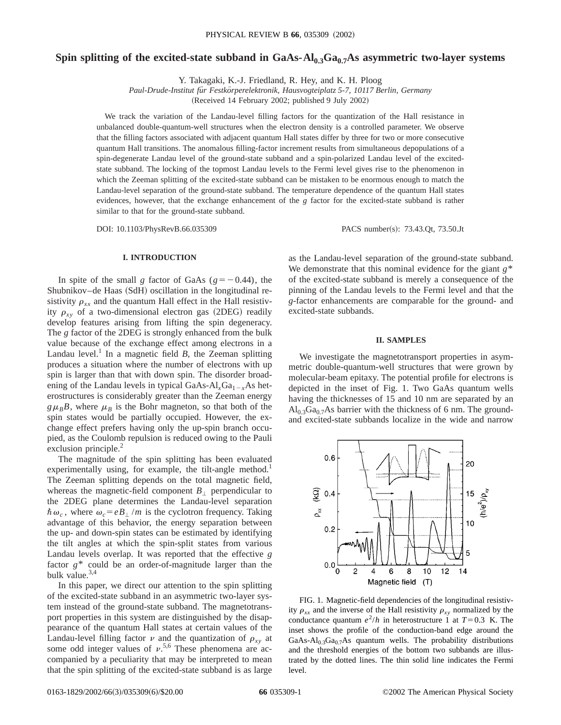# Spin splitting of the excited-state subband in  $GaAs-Al_{0,3}Ga_{0,7}As$  asymmetric two-layer systems

Y. Takagaki, K.-J. Friedland, R. Hey, and K. H. Ploog

*Paul-Drude-Institut fu¨r Festko¨rperelektronik, Hausvogteiplatz 5-7, 10117 Berlin, Germany*

(Received 14 February 2002; published 9 July 2002)

We track the variation of the Landau-level filling factors for the quantization of the Hall resistance in unbalanced double-quantum-well structures when the electron density is a controlled parameter. We observe that the filling factors associated with adjacent quantum Hall states differ by three for two or more consecutive quantum Hall transitions. The anomalous filling-factor increment results from simultaneous depopulations of a spin-degenerate Landau level of the ground-state subband and a spin-polarized Landau level of the excitedstate subband. The locking of the topmost Landau levels to the Fermi level gives rise to the phenomenon in which the Zeeman splitting of the excited-state subband can be mistaken to be enormous enough to match the Landau-level separation of the ground-state subband. The temperature dependence of the quantum Hall states evidences, however, that the exchange enhancement of the *g* factor for the excited-state subband is rather similar to that for the ground-state subband.

DOI: 10.1103/PhysRevB.66.035309 PACS number(s): 73.43.Qt, 73.50.Jt

## **I. INTRODUCTION**

In spite of the small *g* factor of GaAs ( $g = -0.44$ ), the Shubnikov–de Haas (SdH) oscillation in the longitudinal resistivity  $\rho_{xx}$  and the quantum Hall effect in the Hall resistivity  $\rho_{xy}$  of a two-dimensional electron gas (2DEG) readily develop features arising from lifting the spin degeneracy. The *g* factor of the 2DEG is strongly enhanced from the bulk value because of the exchange effect among electrons in a Landau level.<sup>1</sup> In a magnetic field *B*, the Zeeman splitting produces a situation where the number of electrons with up spin is larger than that with down spin. The disorder broadening of the Landau levels in typical GaAs- $Al<sub>x</sub>Ga<sub>1-x</sub>As$  heterostructures is considerably greater than the Zeeman energy  $g\mu_B B$ , where  $\mu_B$  is the Bohr magneton, so that both of the spin states would be partially occupied. However, the exchange effect prefers having only the up-spin branch occupied, as the Coulomb repulsion is reduced owing to the Pauli exclusion principle.<sup>2</sup>

The magnitude of the spin splitting has been evaluated experimentally using, for example, the tilt-angle method.<sup>1</sup> The Zeeman splitting depends on the total magnetic field, whereas the magnetic-field component  $B_{\perp}$  perpendicular to the 2DEG plane determines the Landau-level separation  $\hbar \omega_c$ , where  $\omega_c = eB_{\perp}/m$  is the cyclotron frequency. Taking advantage of this behavior, the energy separation between the up- and down-spin states can be estimated by identifying the tilt angles at which the spin-split states from various Landau levels overlap. It was reported that the effective *g* factor *g*\* could be an order-of-magnitude larger than the bulk value.3,4

In this paper, we direct our attention to the spin splitting of the excited-state subband in an asymmetric two-layer system instead of the ground-state subband. The magnetotransport properties in this system are distinguished by the disappearance of the quantum Hall states at certain values of the Landau-level filling factor  $\nu$  and the quantization of  $\rho_{xy}$  at some odd integer values of  $\nu$ .<sup>5,6</sup> These phenomena are accompanied by a peculiarity that may be interpreted to mean that the spin splitting of the excited-state subband is as large as the Landau-level separation of the ground-state subband. We demonstrate that this nominal evidence for the giant *g*\* of the excited-state subband is merely a consequence of the pinning of the Landau levels to the Fermi level and that the *g*-factor enhancements are comparable for the ground- and excited-state subbands.

#### **II. SAMPLES**

We investigate the magnetotransport properties in asymmetric double-quantum-well structures that were grown by molecular-beam epitaxy. The potential profile for electrons is depicted in the inset of Fig. 1. Two GaAs quantum wells having the thicknesses of 15 and 10 nm are separated by an  $Al<sub>0.3</sub>Ga<sub>0.7</sub>As barrier with the thickness of 6 nm. The ground$ and excited-state subbands localize in the wide and narrow



FIG. 1. Magnetic-field dependencies of the longitudinal resistivity  $\rho_{xx}$  and the inverse of the Hall resistivity  $\rho_{xy}$  normalized by the conductance quantum  $e^2/h$  in heterostructure 1 at  $T=0.3$  K. The inset shows the profile of the conduction-band edge around the GaAs-Al<sub>0.3</sub>Ga<sub>0.7</sub>As quantum wells. The probability distributions and the threshold energies of the bottom two subbands are illustrated by the dotted lines. The thin solid line indicates the Fermi level.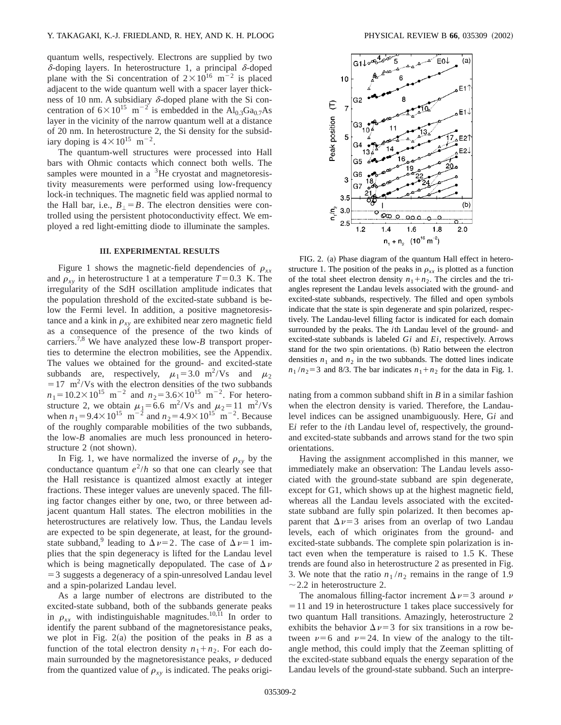quantum wells, respectively. Electrons are supplied by two  $\delta$ -doping layers. In heterostructure 1, a principal  $\delta$ -doped plane with the Si concentration of  $2 \times 10^{16}$  m<sup>-2</sup> is placed adjacent to the wide quantum well with a spacer layer thickness of 10 nm. A subsidiary  $\delta$ -doped plane with the Si concentration of  $6\times10^{15}$  m<sup>-2</sup> is embedded in the Al<sub>0.3</sub>Ga<sub>0.7</sub>As layer in the vicinity of the narrow quantum well at a distance of 20 nm. In heterostructure 2, the Si density for the subsidiary doping is  $4 \times 10^{15}$  m<sup>-2</sup>.

The quantum-well structures were processed into Hall bars with Ohmic contacts which connect both wells. The samples were mounted in a  $3$ He cryostat and magnetoresistivity measurements were performed using low-frequency lock-in techniques. The magnetic field was applied normal to the Hall bar, i.e.,  $B_{\perp} = B$ . The electron densities were controlled using the persistent photoconductivity effect. We employed a red light-emitting diode to illuminate the samples.

### **III. EXPERIMENTAL RESULTS**

Figure 1 shows the magnetic-field dependencies of  $\rho_{xx}$ and  $\rho_{xy}$  in heterostructure 1 at a temperature  $T=0.3$  K. The irregularity of the SdH oscillation amplitude indicates that the population threshold of the excited-state subband is below the Fermi level. In addition, a positive magnetoresistance and a kink in  $\rho_{xy}$  are exhibited near zero magnetic field as a consequence of the presence of the two kinds of carriers.7,8 We have analyzed these low-*B* transport properties to determine the electron mobilities, see the Appendix. The values we obtained for the ground- and excited-state subbands are, respectively,  $\mu_1 = 3.0 \text{ m}^2/\text{Vs}$  and  $\mu_2$  $=17$  m<sup>2</sup>/Vs with the electron densities of the two subbands  $n_1 = 10.2 \times 10^{15}$  m<sup>-2</sup> and  $n_2 = 3.6 \times 10^{15}$  m<sup>-2</sup>. For heterostructure 2, we obtain  $\mu_1 = 6.6$  m<sup>2</sup>/Vs and  $\mu_2 = 11$  m<sup>2</sup>/Vs when  $n_1 = 9.4 \times 10^{15}$  m<sup>-2</sup> and  $n_2 = 4.9 \times 10^{15}$  m<sup>-2</sup>. Because of the roughly comparable mobilities of the two subbands, the low-*B* anomalies are much less pronounced in heterostructure 2 (not shown).

In Fig. 1, we have normalized the inverse of  $\rho_{xy}$  by the conductance quantum  $e^2/h$  so that one can clearly see that the Hall resistance is quantized almost exactly at integer fractions. These integer values are unevenly spaced. The filling factor changes either by one, two, or three between adjacent quantum Hall states. The electron mobilities in the heterostructures are relatively low. Thus, the Landau levels are expected to be spin degenerate, at least, for the groundstate subband,<sup>9</sup> leading to  $\Delta \nu = 2$ . The case of  $\Delta \nu = 1$  implies that the spin degeneracy is lifted for the Landau level which is being magnetically depopulated. The case of  $\Delta \nu$  $=$  3 suggests a degeneracy of a spin-unresolved Landau level and a spin-polarized Landau level.

As a large number of electrons are distributed to the excited-state subband, both of the subbands generate peaks in  $\rho_{xx}$  with indistinguishable magnitudes.<sup>10,11</sup> In order to identify the parent subband of the magnetoresistance peaks, we plot in Fig.  $2(a)$  the position of the peaks in *B* as a function of the total electron density  $n_1 + n_2$ . For each domain surrounded by the magnetoresistance peaks,  $\nu$  deduced from the quantized value of  $\rho_{xy}$  is indicated. The peaks origi-



FIG. 2. (a) Phase diagram of the quantum Hall effect in heterostructure 1. The position of the peaks in  $\rho_{xx}$  is plotted as a function of the total sheet electron density  $n_1 + n_2$ . The circles and the triangles represent the Landau levels associated with the ground- and excited-state subbands, respectively. The filled and open symbols indicate that the state is spin degenerate and spin polarized, respectively. The Landau-level filling factor is indicated for each domain surrounded by the peaks. The *i*th Landau level of the ground- and excited-state subbands is labeled *Gi* and *Ei*, respectively. Arrows stand for the two spin orientations. (b) Ratio between the electron densities  $n_1$  and  $n_2$  in the two subbands. The dotted lines indicate  $n_1/n_2 = 3$  and 8/3. The bar indicates  $n_1 + n_2$  for the data in Fig. 1.

nating from a common subband shift in *B* in a similar fashion when the electron density is varied. Therefore, the Landaulevel indices can be assigned unambiguously. Here, G*i* and E*i* refer to the *i*th Landau level of, respectively, the groundand excited-state subbands and arrows stand for the two spin orientations.

Having the assignment accomplished in this manner, we immediately make an observation: The Landau levels associated with the ground-state subband are spin degenerate, except for G1, which shows up at the highest magnetic field, whereas all the Landau levels associated with the excitedstate subband are fully spin polarized. It then becomes apparent that  $\Delta \nu = 3$  arises from an overlap of two Landau levels, each of which originates from the ground- and excited-state subbands. The complete spin polarization is intact even when the temperature is raised to 1.5 K. These trends are found also in heterostructure 2 as presented in Fig. 3. We note that the ratio  $n_1/n_2$  remains in the range of 1.9  $\sim$  2.2 in heterostructure 2.

The anomalous filling-factor increment  $\Delta \nu = 3$  around  $\nu$  $=$  11 and 19 in heterostructure 1 takes place successively for two quantum Hall transitions. Amazingly, heterostructure 2 exhibits the behavior  $\Delta \nu = 3$  for six transitions in a row between  $\nu=6$  and  $\nu=24$ . In view of the analogy to the tiltangle method, this could imply that the Zeeman splitting of the excited-state subband equals the energy separation of the Landau levels of the ground-state subband. Such an interpre-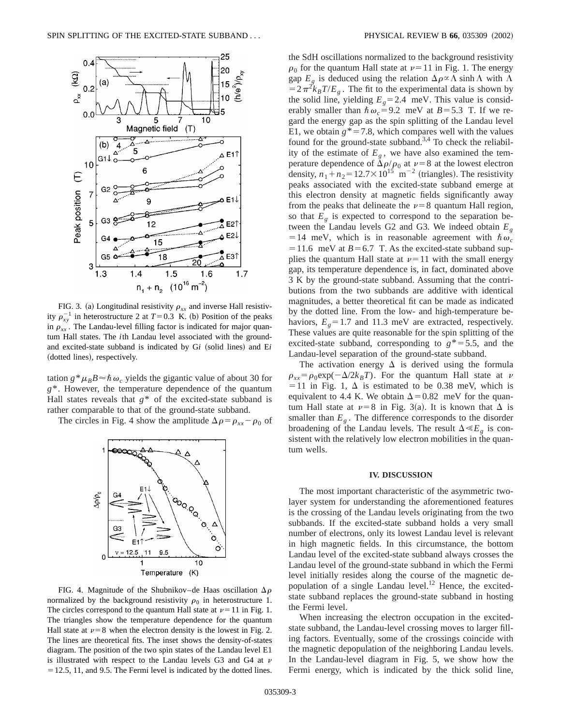

FIG. 3. (a) Longitudinal resistivity  $\rho_{xx}$  and inverse Hall resistivity  $\rho_{xy}^{-1}$  in heterostructure 2 at  $T=0.3$  K. (b) Position of the peaks in  $\rho_{xx}$ . The Landau-level filling factor is indicated for major quantum Hall states. The *i*th Landau level associated with the groundand excited-state subband is indicated by Gi (solid lines) and Ei (dotted lines), respectively.

tation  $g^*\mu_B B \approx \hbar \omega_c$  yields the gigantic value of about 30 for *g*\*. However, the temperature dependence of the quantum Hall states reveals that  $g^*$  of the excited-state subband is rather comparable to that of the ground-state subband.

The circles in Fig. 4 show the amplitude  $\Delta \rho = \rho_{xx} - \rho_0$  of



FIG. 4. Magnitude of the Shubnikov–de Haas oscillation  $\Delta \rho$ normalized by the background resistivity  $\rho_0$  in heterostructure 1. The circles correspond to the quantum Hall state at  $\nu=11$  in Fig. 1. The triangles show the temperature dependence for the quantum Hall state at  $\nu=8$  when the electron density is the lowest in Fig. 2. The lines are theoretical fits. The inset shows the density-of-states diagram. The position of the two spin states of the Landau level E1 is illustrated with respect to the Landau levels G3 and G4 at  $\nu$  $=$  12.5, 11, and 9.5. The Fermi level is indicated by the dotted lines.

the SdH oscillations normalized to the background resistivity  $\rho_0$  for the quantum Hall state at  $\nu=11$  in Fig. 1. The energy gap  $E_g$  is deduced using the relation  $\Delta \rho \propto \Lambda \sinh \Lambda$  with  $\Lambda$  $=2\pi^2k_BT/E_g$ . The fit to the experimental data is shown by the solid line, yielding  $E<sub>g</sub>=2.4$  meV. This value is considerably smaller than  $\hbar \omega_c = 9.2$  meV at *B* = 5.3 T. If we regard the energy gap as the spin splitting of the Landau level E1, we obtain  $g^* = 7.8$ , which compares well with the values found for the ground-state subband.<sup>3,4</sup> To check the reliability of the estimate of  $E_g$ , we have also examined the temperature dependence of  $\Delta \rho / \rho_0$  at  $\nu=8$  at the lowest electron density,  $n_1 + n_2 = 12.7 \times 10^{15}$  m<sup>-2</sup> (triangles). The resistivity peaks associated with the excited-state subband emerge at this electron density at magnetic fields significantly away from the peaks that delineate the  $\nu=8$  quantum Hall region, so that  $E<sub>g</sub>$  is expected to correspond to the separation between the Landau levels G2 and G3. We indeed obtain *Eg* = 14 meV, which is in reasonable agreement with  $\hbar \omega_c$  $=$  11.6 meV at *B* = 6.7 T. As the excited-state subband supplies the quantum Hall state at  $\nu=11$  with the small energy gap, its temperature dependence is, in fact, dominated above 3 K by the ground-state subband. Assuming that the contributions from the two subbands are additive with identical magnitudes, a better theoretical fit can be made as indicated by the dotted line. From the low- and high-temperature behaviors,  $E<sub>g</sub>=1.7$  and 11.3 meV are extracted, respectively. These values are quite reasonable for the spin splitting of the excited-state subband, corresponding to  $g^* = 5.5$ , and the Landau-level separation of the ground-state subband.

The activation energy  $\Delta$  is derived using the formula  $\rho_{xx} = \rho_0 \exp(-\Delta/2k_BT)$ . For the quantum Hall state at v  $=$  11 in Fig. 1,  $\Delta$  is estimated to be 0.38 meV, which is equivalent to 4.4 K. We obtain  $\Delta$  = 0.82 meV for the quantum Hall state at  $\nu=8$  in Fig. 3(a). It is known that  $\Delta$  is smaller than  $E<sub>g</sub>$ . The difference corresponds to the disorder broadening of the Landau levels. The result  $\Delta \ll E_{\varphi}$  is consistent with the relatively low electron mobilities in the quantum wells.

#### **IV. DISCUSSION**

The most important characteristic of the asymmetric twolayer system for understanding the aforementioned features is the crossing of the Landau levels originating from the two subbands. If the excited-state subband holds a very small number of electrons, only its lowest Landau level is relevant in high magnetic fields. In this circumstance, the bottom Landau level of the excited-state subband always crosses the Landau level of the ground-state subband in which the Fermi level initially resides along the course of the magnetic depopulation of a single Landau level.<sup>12</sup> Hence, the excitedstate subband replaces the ground-state subband in hosting the Fermi level.

When increasing the electron occupation in the excitedstate subband, the Landau-level crossing moves to larger filling factors. Eventually, some of the crossings coincide with the magnetic depopulation of the neighboring Landau levels. In the Landau-level diagram in Fig. 5, we show how the Fermi energy, which is indicated by the thick solid line,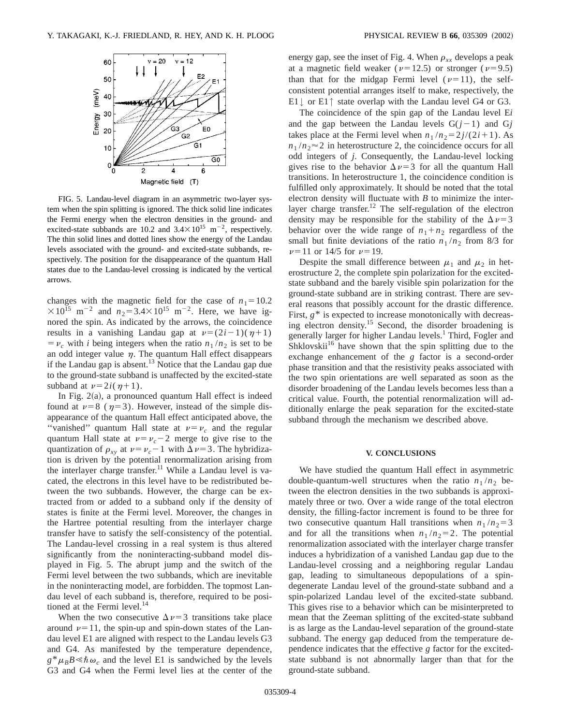

FIG. 5. Landau-level diagram in an asymmetric two-layer system when the spin splitting is ignored. The thick solid line indicates the Fermi energy when the electron densities in the ground- and excited-state subbands are 10.2 and  $3.4 \times 10^{15}$  m<sup>-2</sup>, respectively. The thin solid lines and dotted lines show the energy of the Landau levels associated with the ground- and excited-state subbands, respectively. The position for the disappearance of the quantum Hall states due to the Landau-level crossing is indicated by the vertical arrows.

changes with the magnetic field for the case of  $n_1=10.2$  $\times 10^{15}$  m<sup>-2</sup> and  $n_2 = 3.4 \times 10^{15}$  m<sup>-2</sup>. Here, we have ignored the spin. As indicated by the arrows, the coincidence results in a vanishing Landau gap at  $\nu=(2i-1)(\eta+1)$  $= v_c$  with *i* being integers when the ratio  $n_1/n_2$  is set to be an odd integer value  $\eta$ . The quantum Hall effect disappears if the Landau gap is absent.<sup>13</sup> Notice that the Landau gap due to the ground-state subband is unaffected by the excited-state subband at  $\nu=2i(\eta+1)$ .

In Fig.  $2(a)$ , a pronounced quantum Hall effect is indeed found at  $\nu=8$  ( $\eta=3$ ). However, instead of the simple disappearance of the quantum Hall effect anticipated above, the "vanished" quantum Hall state at  $v=v_c$  and the regular quantum Hall state at  $v=v_c-2$  merge to give rise to the quantization of  $\rho_{xy}$  at  $\nu = \nu_c - 1$  with  $\Delta \nu = 3$ . The hybridization is driven by the potential renormalization arising from the interlayer charge transfer.<sup>11</sup> While a Landau level is vacated, the electrons in this level have to be redistributed between the two subbands. However, the charge can be extracted from or added to a subband only if the density of states is finite at the Fermi level. Moreover, the changes in the Hartree potential resulting from the interlayer charge transfer have to satisfy the self-consistency of the potential. The Landau-level crossing in a real system is thus altered significantly from the noninteracting-subband model displayed in Fig. 5. The abrupt jump and the switch of the Fermi level between the two subbands, which are inevitable in the noninteracting model, are forbidden. The topmost Landau level of each subband is, therefore, required to be positioned at the Fermi level. $14$ 

When the two consecutive  $\Delta \nu = 3$  transitions take place around  $\nu=11$ , the spin-up and spin-down states of the Landau level E1 are aligned with respect to the Landau levels G3 and G4. As manifested by the temperature dependence,  $g^* \mu_B B \ll \hbar \omega_c$  and the level E1 is sandwiched by the levels G3 and G4 when the Fermi level lies at the center of the energy gap, see the inset of Fig. 4. When  $\rho_{xx}$  develops a peak at a magnetic field weaker ( $\nu=12.5$ ) or stronger ( $\nu=9.5$ ) than that for the midgap Fermi level  $(\nu=11)$ , the selfconsistent potential arranges itself to make, respectively, the E1↓ or E1↑ state overlap with the Landau level G4 or G3.

The coincidence of the spin gap of the Landau level E*i* and the gap between the Landau levels  $G(j-1)$  and  $Gj$ takes place at the Fermi level when  $n_1/n_2 = 2j/(2i+1)$ . As  $n_1/n_2 \approx 2$  in heterostructure 2, the coincidence occurs for all odd integers of *j*. Consequently, the Landau-level locking gives rise to the behavior  $\Delta v=3$  for all the quantum Hall transitions. In heterostructure 1, the coincidence condition is fulfilled only approximately. It should be noted that the total electron density will fluctuate with *B* to minimize the interlayer charge transfer.<sup>12</sup> The self-regulation of the electron density may be responsible for the stability of the  $\Delta \nu = 3$ behavior over the wide range of  $n_1 + n_2$  regardless of the small but finite deviations of the ratio  $n_1/n_2$  from 8/3 for  $\nu=11$  or 14/5 for  $\nu=19$ .

Despite the small difference between  $\mu_1$  and  $\mu_2$  in heterostructure 2, the complete spin polarization for the excitedstate subband and the barely visible spin polarization for the ground-state subband are in striking contrast. There are several reasons that possibly account for the drastic difference. First, *g*\* is expected to increase monotonically with decreasing electron density.15 Second, the disorder broadening is generally larger for higher Landau levels.<sup>1</sup> Third, Fogler and Shklovskii<sup>16</sup> have shown that the spin splitting due to the exchange enhancement of the *g* factor is a second-order phase transition and that the resistivity peaks associated with the two spin orientations are well separated as soon as the disorder broadening of the Landau levels becomes less than a critical value. Fourth, the potential renormalization will additionally enlarge the peak separation for the excited-state subband through the mechanism we described above.

### **V. CONCLUSIONS**

We have studied the quantum Hall effect in asymmetric double-quantum-well structures when the ratio  $n_1/n_2$  between the electron densities in the two subbands is approximately three or two. Over a wide range of the total electron density, the filling-factor increment is found to be three for two consecutive quantum Hall transitions when  $n_1/n_2 = 3$ and for all the transitions when  $n_1/n_2=2$ . The potential renormalization associated with the interlayer charge transfer induces a hybridization of a vanished Landau gap due to the Landau-level crossing and a neighboring regular Landau gap, leading to simultaneous depopulations of a spindegenerate Landau level of the ground-state subband and a spin-polarized Landau level of the excited-state subband. This gives rise to a behavior which can be misinterpreted to mean that the Zeeman splitting of the excited-state subband is as large as the Landau-level separation of the ground-state subband. The energy gap deduced from the temperature dependence indicates that the effective *g* factor for the excitedstate subband is not abnormally larger than that for the ground-state subband.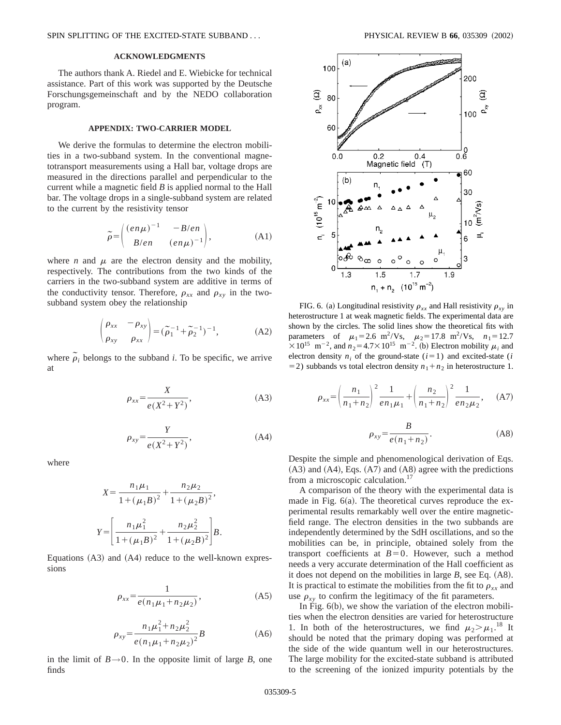# **ACKNOWLEDGMENTS**

The authors thank A. Riedel and E. Wiebicke for technical assistance. Part of this work was supported by the Deutsche Forschungsgemeinschaft and by the NEDO collaboration program.

### **APPENDIX: TWO-CARRIER MODEL**

We derive the formulas to determine the electron mobilities in a two-subband system. In the conventional magnetotransport measurements using a Hall bar, voltage drops are measured in the directions parallel and perpendicular to the current while a magnetic field *B* is applied normal to the Hall bar. The voltage drops in a single-subband system are related to the current by the resistivity tensor

$$
\widetilde{\rho} = \begin{pmatrix} (en\mu)^{-1} & -B/en \\ B/en & (en\mu)^{-1} \end{pmatrix},
$$
 (A1)

where *n* and  $\mu$  are the electron density and the mobility, respectively. The contributions from the two kinds of the carriers in the two-subband system are additive in terms of the conductivity tensor. Therefore,  $\rho_{xx}$  and  $\rho_{xy}$  in the twosubband system obey the relationship

$$
\begin{pmatrix} \rho_{xx} & -\rho_{xy} \\ \rho_{xy} & \rho_{xx} \end{pmatrix} = (\tilde{\rho}_1^{-1} + \tilde{\rho}_2^{-1})^{-1},
$$
 (A2)

where  $\tilde{\rho}_i$  belongs to the subband *i*. To be specific, we arrive at

$$
\rho_{xx} = \frac{X}{e(X^2 + Y^2)},\tag{A3}
$$

$$
\rho_{xy} = \frac{Y}{e(X^2 + Y^2)},\tag{A4}
$$

where

$$
X = \frac{n_1 \mu_1}{1 + (\mu_1 B)^2} + \frac{n_2 \mu_2}{1 + (\mu_2 B)^2},
$$
  

$$
Y = \left[ \frac{n_1 \mu_1^2}{1 + (\mu_1 B)^2} + \frac{n_2 \mu_2^2}{1 + (\mu_2 B)^2} \right] B.
$$

Equations  $(A3)$  and  $(A4)$  reduce to the well-known expressions

$$
\rho_{xx} = \frac{1}{e(n_1\mu_1 + n_2\mu_2)},
$$
\n(A5)

$$
\rho_{xy} = \frac{n_1 \mu_1^2 + n_2 \mu_2^2}{e(n_1 \mu_1 + n_2 \mu_2)^2} B
$$
\n(A6)

in the limit of  $B \rightarrow 0$ . In the opposite limit of large *B*, one finds



FIG. 6. (a) Longitudinal resistivity  $\rho_{xx}$  and Hall resistivity  $\rho_{xy}$  in heterostructure 1 at weak magnetic fields. The experimental data are shown by the circles. The solid lines show the theoretical fits with parameters of  $\mu_1 = 2.6 \text{ m}^2/\text{Vs}, \mu_2 = 17.8 \text{ m}^2/\text{Vs}, n_1 = 12.7$  $\times 10^{15}$  m<sup>-2</sup>, and  $n_2$ =4.7 $\times 10^{15}$  m<sup>-2</sup>. (b) Electron mobility  $\mu_i$  and electron density  $n_i$  of the ground-state ( $i=1$ ) and excited-state (*i*)  $=$  2) subbands vs total electron density  $n_1 + n_2$  in heterostructure 1.

$$
\rho_{xx} = \left(\frac{n_1}{n_1 + n_2}\right)^2 \frac{1}{en_1\mu_1} + \left(\frac{n_2}{n_1 + n_2}\right)^2 \frac{1}{en_2\mu_2}, \quad (A7)
$$

$$
\rho_{xy} = \frac{B}{e(n_1 + n_2)}.\tag{A8}
$$

Despite the simple and phenomenological derivation of Eqs.  $(A3)$  and  $(A4)$ , Eqs.  $(A7)$  and  $(A8)$  agree with the predictions from a microscopic calculation.<sup>17</sup>

A comparison of the theory with the experimental data is made in Fig.  $6(a)$ . The theoretical curves reproduce the experimental results remarkably well over the entire magneticfield range. The electron densities in the two subbands are independently determined by the SdH oscillations, and so the mobilities can be, in principle, obtained solely from the transport coefficients at  $B=0$ . However, such a method needs a very accurate determination of the Hall coefficient as it does not depend on the mobilities in large  $B$ , see Eq.  $(A8)$ . It is practical to estimate the mobilities from the fit to  $\rho_{xx}$  and use  $\rho_{xy}$  to confirm the legitimacy of the fit parameters.

In Fig.  $6(b)$ , we show the variation of the electron mobilities when the electron densities are varied for heterostructure 1. In both of the heterostructures, we find  $\mu_2 > \mu_1$ .<sup>18</sup> It should be noted that the primary doping was performed at the side of the wide quantum well in our heterostructures. The large mobility for the excited-state subband is attributed to the screening of the ionized impurity potentials by the